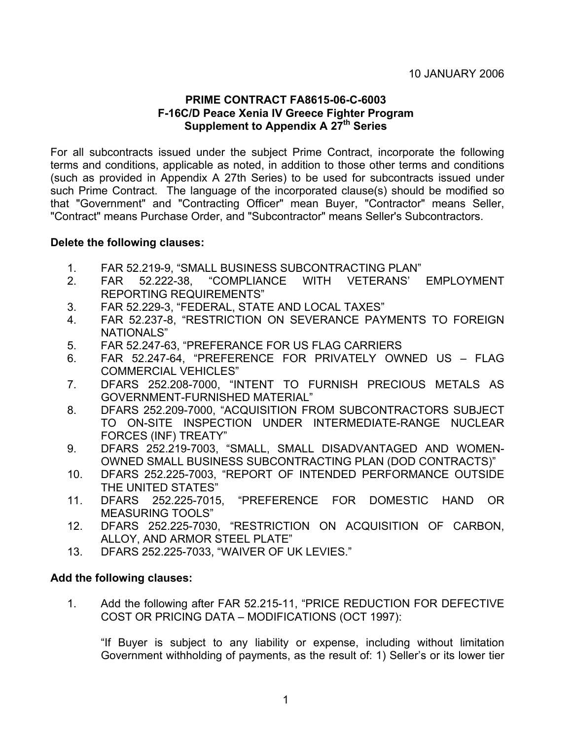# **PRIME CONTRACT FA8615-06-C-6003 F-16C/D Peace Xenia IV Greece Fighter Program Supplement to Appendix A 27th Series**

For all subcontracts issued under the subject Prime Contract, incorporate the following terms and conditions, applicable as noted, in addition to those other terms and conditions (such as provided in Appendix A 27th Series) to be used for subcontracts issued under such Prime Contract. The language of the incorporated clause(s) should be modified so that "Government" and "Contracting Officer" mean Buyer, "Contractor" means Seller, "Contract" means Purchase Order, and "Subcontractor" means Seller's Subcontractors.

## **Delete the following clauses:**

- 1. FAR 52.219-9, "SMALL BUSINESS SUBCONTRACTING PLAN"
- 2. FAR 52.222-38, "COMPLIANCE WITH VETERANS' EMPLOYMENT REPORTING REQUIREMENTS"
- 3. FAR 52.229-3, "FEDERAL, STATE AND LOCAL TAXES"
- 4. FAR 52.237-8, "RESTRICTION ON SEVERANCE PAYMENTS TO FOREIGN NATIONALS"
- 5. FAR 52.247-63, "PREFERANCE FOR US FLAG CARRIERS
- 6. FAR 52.247-64, "PREFERENCE FOR PRIVATELY OWNED US FLAG COMMERCIAL VEHICLES"
- 7. DFARS 252.208-7000, "INTENT TO FURNISH PRECIOUS METALS AS GOVERNMENT-FURNISHED MATERIAL"
- 8. DFARS 252.209-7000, "ACQUISITION FROM SUBCONTRACTORS SUBJECT TO ON-SITE INSPECTION UNDER INTERMEDIATE-RANGE NUCLEAR FORCES (INF) TREATY"
- 9. DFARS 252.219-7003, "SMALL, SMALL DISADVANTAGED AND WOMEN-OWNED SMALL BUSINESS SUBCONTRACTING PLAN (DOD CONTRACTS)"
- 10. DFARS 252.225-7003, "REPORT OF INTENDED PERFORMANCE OUTSIDE THE UNITED STATES"
- 11. DFARS 252.225-7015, "PREFERENCE FOR DOMESTIC HAND OR MEASURING TOOLS"
- 12. DFARS 252.225-7030, "RESTRICTION ON ACQUISITION OF CARBON, ALLOY, AND ARMOR STEEL PLATE"
- 13. DFARS 252.225-7033, "WAIVER OF UK LEVIES."

#### **Add the following clauses:**

1. Add the following after FAR 52.215-11, "PRICE REDUCTION FOR DEFECTIVE COST OR PRICING DATA – MODIFICATIONS (OCT 1997):

"If Buyer is subject to any liability or expense, including without limitation Government withholding of payments, as the result of: 1) Seller's or its lower tier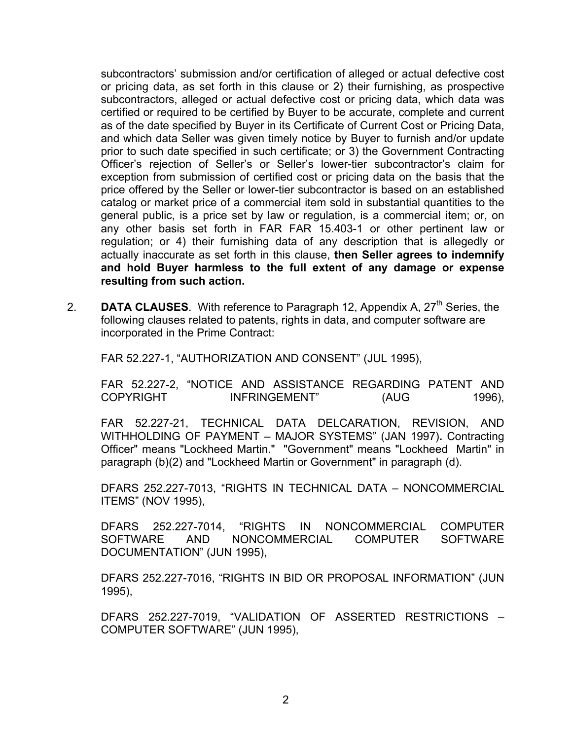subcontractors' submission and/or certification of alleged or actual defective cost or pricing data, as set forth in this clause or 2) their furnishing, as prospective subcontractors, alleged or actual defective cost or pricing data, which data was certified or required to be certified by Buyer to be accurate, complete and current as of the date specified by Buyer in its Certificate of Current Cost or Pricing Data, and which data Seller was given timely notice by Buyer to furnish and/or update prior to such date specified in such certificate; or 3) the Government Contracting Officer's rejection of Seller's or Seller's lower-tier subcontractor's claim for exception from submission of certified cost or pricing data on the basis that the price offered by the Seller or lower-tier subcontractor is based on an established catalog or market price of a commercial item sold in substantial quantities to the general public, is a price set by law or regulation, is a commercial item; or, on any other basis set forth in FAR FAR 15.403-1 or other pertinent law or regulation; or 4) their furnishing data of any description that is allegedly or actually inaccurate as set forth in this clause, **then Seller agrees to indemnify and hold Buyer harmless to the full extent of any damage or expense resulting from such action.**

2. **DATA CLAUSES**. With reference to Paragraph 12, Appendix A, 27<sup>th</sup> Series, the following clauses related to patents, rights in data, and computer software are incorporated in the Prime Contract:

FAR 52.227-1, "AUTHORIZATION AND CONSENT" (JUL 1995),

FAR 52.227-2, "NOTICE AND ASSISTANCE REGARDING PATENT AND COPYRIGHT INFRINGEMENT" (AUG 1996),

FAR 52.227-21, TECHNICAL DATA DELCARATION, REVISION, AND WITHHOLDING OF PAYMENT – MAJOR SYSTEMS" (JAN 1997)**.** Contracting Officer" means "Lockheed Martin." "Government" means "Lockheed Martin" in paragraph (b)(2) and "Lockheed Martin or Government" in paragraph (d).

DFARS 252.227-7013, "RIGHTS IN TECHNICAL DATA – NONCOMMERCIAL ITEMS" (NOV 1995),

DFARS 252.227-7014, "RIGHTS IN NONCOMMERCIAL COMPUTER SOFTWARE AND NONCOMMERCIAL COMPUTER SOFTWARE DOCUMENTATION" (JUN 1995),

DFARS 252.227-7016, "RIGHTS IN BID OR PROPOSAL INFORMATION" (JUN 1995),

DFARS 252.227-7019, "VALIDATION OF ASSERTED RESTRICTIONS – COMPUTER SOFTWARE" (JUN 1995),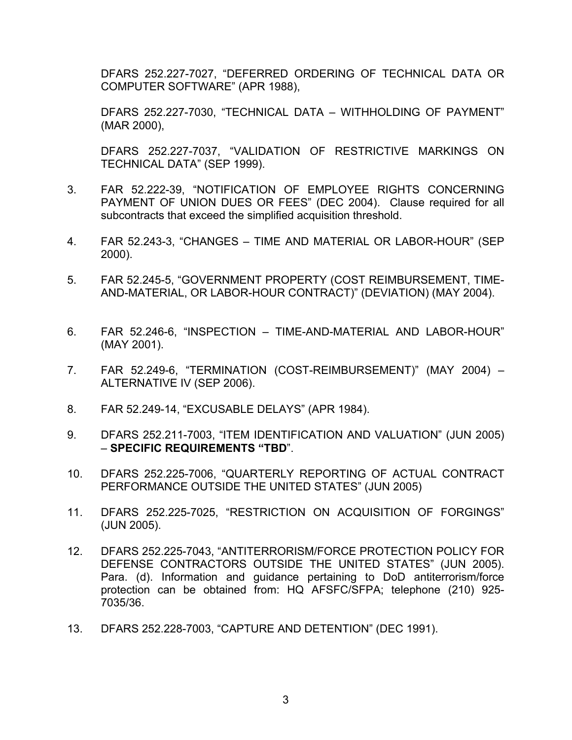DFARS 252.227-7027, "DEFERRED ORDERING OF TECHNICAL DATA OR COMPUTER SOFTWARE" (APR 1988),

DFARS 252.227-7030, "TECHNICAL DATA – WITHHOLDING OF PAYMENT" (MAR 2000),

DFARS 252.227-7037, "VALIDATION OF RESTRICTIVE MARKINGS ON TECHNICAL DATA" (SEP 1999).

- 3. FAR 52.222-39, "NOTIFICATION OF EMPLOYEE RIGHTS CONCERNING PAYMENT OF UNION DUES OR FEES" (DEC 2004). Clause required for all subcontracts that exceed the simplified acquisition threshold.
- 4. FAR 52.243-3, "CHANGES TIME AND MATERIAL OR LABOR-HOUR" (SEP 2000).
- 5. FAR 52.245-5, "GOVERNMENT PROPERTY (COST REIMBURSEMENT, TIME-AND-MATERIAL, OR LABOR-HOUR CONTRACT)" (DEVIATION) (MAY 2004).
- 6. FAR 52.246-6, "INSPECTION TIME-AND-MATERIAL AND LABOR-HOUR" (MAY 2001).
- 7. FAR 52.249-6, "TERMINATION (COST-REIMBURSEMENT)" (MAY 2004) ALTERNATIVE IV (SEP 2006).
- 8. FAR 52.249-14, "EXCUSABLE DELAYS" (APR 1984).
- 9. DFARS 252.211-7003, "ITEM IDENTIFICATION AND VALUATION" (JUN 2005) – **SPECIFIC REQUIREMENTS "TBD**".
- 10. DFARS 252.225-7006, "QUARTERLY REPORTING OF ACTUAL CONTRACT PERFORMANCE OUTSIDE THE UNITED STATES" (JUN 2005)
- 11. DFARS 252.225-7025, "RESTRICTION ON ACQUISITION OF FORGINGS" (JUN 2005).
- 12. DFARS 252.225-7043, "ANTITERRORISM/FORCE PROTECTION POLICY FOR DEFENSE CONTRACTORS OUTSIDE THE UNITED STATES" (JUN 2005). Para. (d). Information and guidance pertaining to DoD antiterrorism/force protection can be obtained from: HQ AFSFC/SFPA; telephone (210) 925- 7035/36.
- 13. DFARS 252.228-7003, "CAPTURE AND DETENTION" (DEC 1991).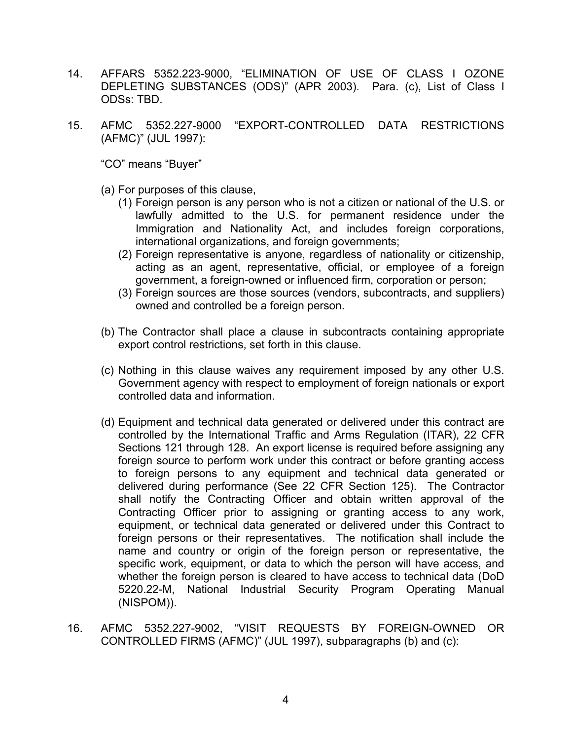- 14. AFFARS 5352.223-9000, "ELIMINATION OF USE OF CLASS I OZONE DEPLETING SUBSTANCES (ODS)" (APR 2003). Para. (c), List of Class I ODSs: TBD.
- 15. AFMC 5352.227-9000 "EXPORT-CONTROLLED DATA RESTRICTIONS (AFMC)" (JUL 1997):

"CO" means "Buyer"

(a) For purposes of this clause,

- (1) Foreign person is any person who is not a citizen or national of the U.S. or lawfully admitted to the U.S. for permanent residence under the Immigration and Nationality Act, and includes foreign corporations, international organizations, and foreign governments;
- (2) Foreign representative is anyone, regardless of nationality or citizenship, acting as an agent, representative, official, or employee of a foreign government, a foreign-owned or influenced firm, corporation or person;
- (3) Foreign sources are those sources (vendors, subcontracts, and suppliers) owned and controlled be a foreign person.
- (b) The Contractor shall place a clause in subcontracts containing appropriate export control restrictions, set forth in this clause.
- (c) Nothing in this clause waives any requirement imposed by any other U.S. Government agency with respect to employment of foreign nationals or export controlled data and information.
- (d) Equipment and technical data generated or delivered under this contract are controlled by the International Traffic and Arms Regulation (ITAR), 22 CFR Sections 121 through 128. An export license is required before assigning any foreign source to perform work under this contract or before granting access to foreign persons to any equipment and technical data generated or delivered during performance (See 22 CFR Section 125). The Contractor shall notify the Contracting Officer and obtain written approval of the Contracting Officer prior to assigning or granting access to any work, equipment, or technical data generated or delivered under this Contract to foreign persons or their representatives. The notification shall include the name and country or origin of the foreign person or representative, the specific work, equipment, or data to which the person will have access, and whether the foreign person is cleared to have access to technical data (DoD 5220.22-M, National Industrial Security Program Operating Manual (NISPOM)).
- 16. AFMC 5352.227-9002, "VISIT REQUESTS BY FOREIGN-OWNED OR CONTROLLED FIRMS (AFMC)" (JUL 1997), subparagraphs (b) and (c):